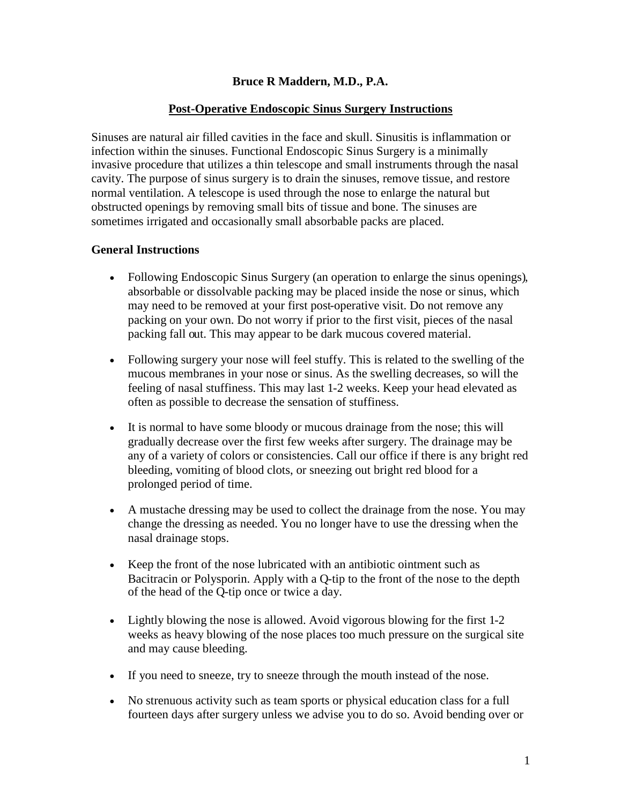## **Bruce R Maddern, M.D., P.A.**

#### **Post-Operative Endoscopic Sinus Surgery Instructions**

Sinuses are natural air filled cavities in the face and skull. Sinusitis is inflammation or infection within the sinuses. Functional Endoscopic Sinus Surgery is a minimally invasive procedure that utilizes a thin telescope and small instruments through the nasal cavity. The purpose of sinus surgery is to drain the sinuses, remove tissue, and restore normal ventilation. A telescope is used through the nose to enlarge the natural but obstructed openings by removing small bits of tissue and bone. The sinuses are sometimes irrigated and occasionally small absorbable packs are placed.

#### **General Instructions**

- Following Endoscopic Sinus Surgery (an operation to enlarge the sinus openings), absorbable or dissolvable packing may be placed inside the nose or sinus, which may need to be removed at your first post-operative visit. Do not remove any packing on your own. Do not worry if prior to the first visit, pieces of the nasal packing fall out. This may appear to be dark mucous covered material.
- Following surgery your nose will feel stuffy. This is related to the swelling of the mucous membranes in your nose or sinus. As the swelling decreases, so will the feeling of nasal stuffiness. This may last 1-2 weeks. Keep your head elevated as often as possible to decrease the sensation of stuffiness.
- It is normal to have some bloody or mucous drainage from the nose; this will gradually decrease over the first few weeks after surgery. The drainage may be any of a variety of colors or consistencies. Call our office if there is any bright red bleeding, vomiting of blood clots, or sneezing out bright red blood for a prolonged period of time.
- A mustache dressing may be used to collect the drainage from the nose. You may change the dressing as needed. You no longer have to use the dressing when the nasal drainage stops.
- Keep the front of the nose lubricated with an antibiotic ointment such as Bacitracin or Polysporin. Apply with a Q-tip to the front of the nose to the depth of the head of the Q-tip once or twice a day.
- Lightly blowing the nose is allowed. Avoid vigorous blowing for the first 1-2 weeks as heavy blowing of the nose places too much pressure on the surgical site and may cause bleeding.
- If you need to sneeze, try to sneeze through the mouth instead of the nose.
- No strenuous activity such as team sports or physical education class for a full fourteen days after surgery unless we advise you to do so. Avoid bending over or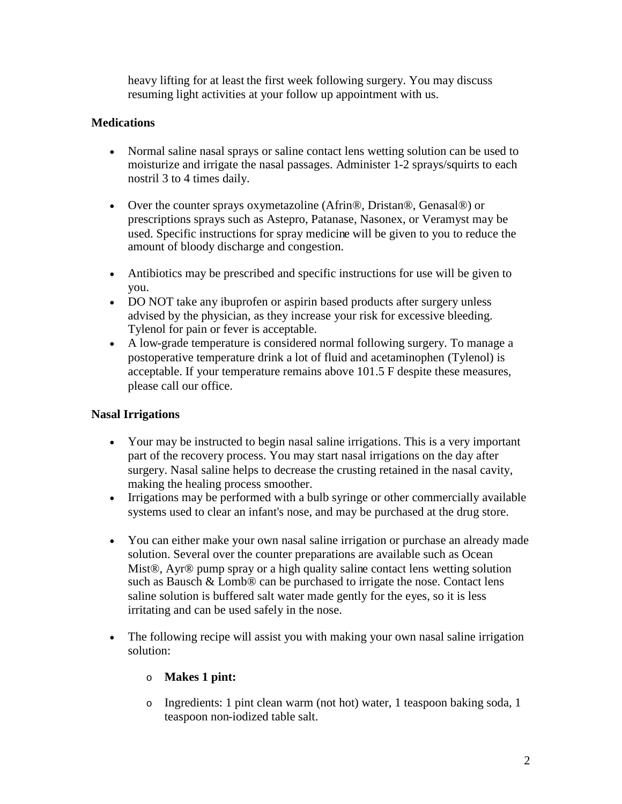heavy lifting for at least the first week following surgery. You may discuss resuming light activities at your follow up appointment with us.

## **Medications**

- Normal saline nasal sprays or saline contact lens wetting solution can be used to moisturize and irrigate the nasal passages. Administer 1-2 sprays/squirts to each nostril 3 to 4 times daily.
- Over the counter sprays oxymetazoline (Afrin®, Dristan®, Genasal®) or prescriptions sprays such as Astepro, Patanase, Nasonex, or Veramyst may be used. Specific instructions for spray medicine will be given to you to reduce the amount of bloody discharge and congestion.
- Antibiotics may be prescribed and specific instructions for use will be given to you.
- DO NOT take any ibuprofen or aspirin based products after surgery unless advised by the physician, as they increase your risk for excessive bleeding. Tylenol for pain or fever is acceptable.
- A low-grade temperature is considered normal following surgery. To manage a postoperative temperature drink a lot of fluid and acetaminophen (Tylenol) is acceptable. If your temperature remains above 101.5 F despite these measures, please call our office.

## **Nasal Irrigations**

- Your may be instructed to begin nasal saline irrigations. This is a very important part of the recovery process. You may start nasal irrigations on the day after surgery. Nasal saline helps to decrease the crusting retained in the nasal cavity, making the healing process smoother.
- Irrigations may be performed with a bulb syringe or other commercially available systems used to clear an infant's nose, and may be purchased at the drug store.
- You can either make your own nasal saline irrigation or purchase an already made solution. Several over the counter preparations are available such as Ocean Mist®, Ayr® pump spray or a high quality saline contact lens wetting solution such as Bausch & Lomb® can be purchased to irrigate the nose. Contact lens saline solution is buffered salt water made gently for the eyes, so it is less irritating and can be used safely in the nose.
- The following recipe will assist you with making your own nasal saline irrigation solution:

# o **Makes 1 pint:**

o Ingredients: 1 pint clean warm (not hot) water, 1 teaspoon baking soda, 1 teaspoon non-iodized table salt.